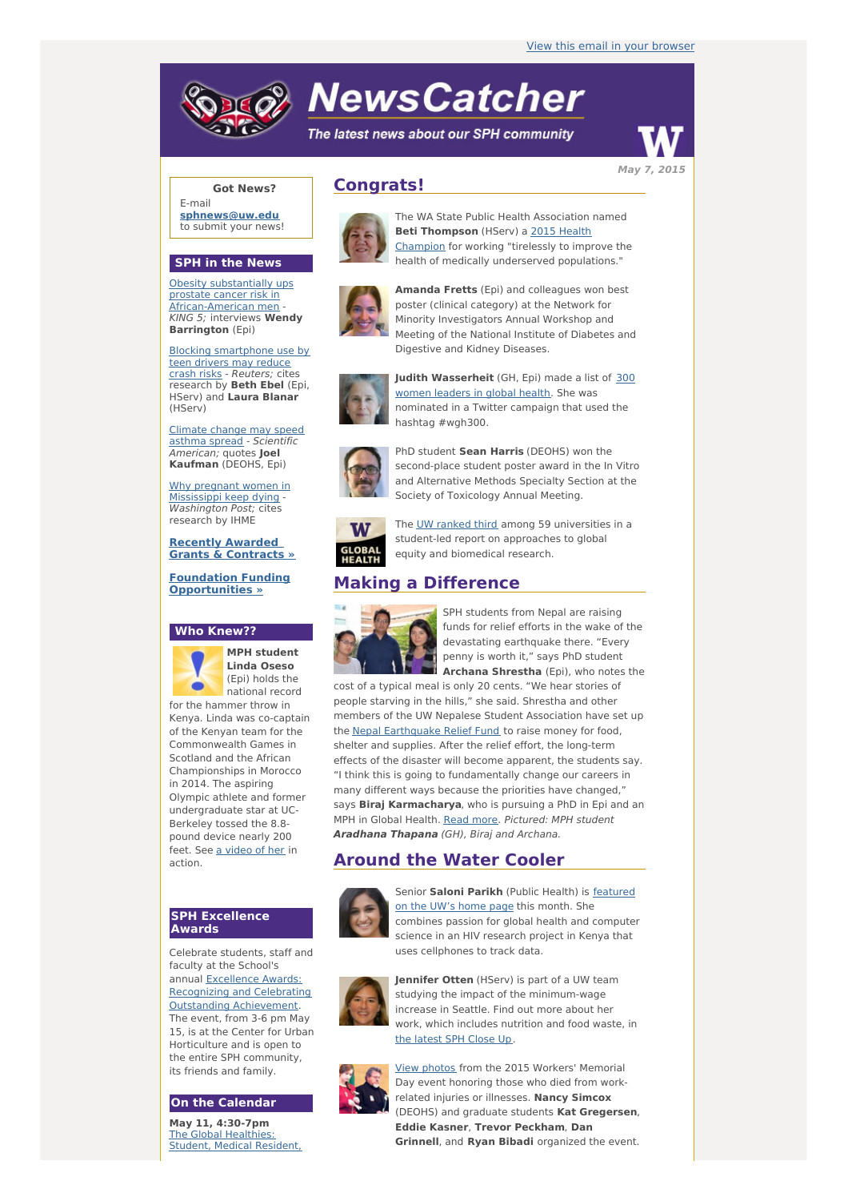# **NewsCatcher**

The latest news about our SPH community



**Got News?**

E-mail **[sphnews@uw.edu](mailto:sphnews@uw.edu)** to submit your news!

#### **SPH in the News**

Obesity substantially ups prostate cancer risk in [African-American](http://engage.washington.edu/site/R?i=KZ7iigiC9OVTZHCgDL8Jlw) men KING 5; interviews **Wendy Barrington** (Epi)

Blocking [smartphone](http://engage.washington.edu/site/R?i=3tVI_wnnzOIXtYLIi8jIQg) use by teen drivers may reduce crash risks - Reuters; cites research by **Beth Ebel** (Epi, HServ) and **Laura Blanar** (HServ)

Climate change may speed asthma spread - [Scientific](http://engage.washington.edu/site/R?i=WVAxN8vucfl-06B8Ilz1fQ) American; quotes **Joel Kaufman** (DEOHS, Epi)

Why pregnant women in [Mississippi](http://engage.washington.edu/site/R?i=UB7v1K3IHStEUnWqo2lmRw) keep dying - Washington Post; cites research by IHME

**Recently Awarded Grants & [Contracts](http://engage.washington.edu/site/R?i=j6sMM1dAATRFErEp0QcJCw) »**

**Foundation Funding [Opportunities](http://engage.washington.edu/site/R?i=LmFe4Ps3XjD9NkEi6cMJEA) »**

#### **Who Knew??**



**MPH student Linda Oseso** (Epi) holds the national record

for the hammer throw in Kenya. Linda was co-captain of the Kenyan team for the Commonwealth Games in Scotland and the African Championships in Morocco in 2014. The aspiring Olympic athlete and former undergraduate star at UC-Berkeley tossed the 8.8 pound device nearly 200 feet. See a [video](http://engage.washington.edu/site/R?i=93ugWIPxGwIZgOYTcastgw) of her in action.

#### **SPH Excellence Awards**

Celebrate students, staff and faculty at the School's annual Excellence Awards: Recognizing and Celebrating Outstanding [Achievement.](http://engage.washington.edu/site/R?i=14UJwIfQZXiCEU49X3FbbA) The event, from 3-6 pm May 15, is at the Center for Urban Horticulture and is open to the entire SPH community, its friends and family.

#### **On the Calendar**

**May 11, 4:30-7pm** The Global [Healthies:](http://engage.washington.edu/site/R?i=wyIHCWGxY-ee3dLmwsHgMA) Student, Medical Resident,

## **Congrats!**



The WA State Public Health Association named **Beti [Thompson](http://engage.washington.edu/site/R?i=o4WgP5wdVR4rbspYjOaNLw)** (HServ) a 2015 Health Champion for working "tirelessly to improve the health of medically underserved populations."



**Amanda Fretts** (Epi) and colleagues won best poster (clinical category) at the Network for Minority Investigators Annual Workshop and Meeting of the National Institute of Diabetes and Digestive and Kidney Diseases.



**Judith [Wasserheit](http://engage.washington.edu/site/R?i=7fvtbxjwbBQwnTd8_n79gQ)** (GH, Epi) made a list of 300 women leaders in global health. She was nominated in a Twitter campaign that used the hashtag #wgh300.



PhD student **Sean Harris** (DEOHS) won the second-place student poster award in the In Vitro and Alternative Methods Specialty Section at the Society of Toxicology Annual Meeting.



The UW [ranked](http://engage.washington.edu/site/R?i=o1lDF91DgQ0oHUWjFMuWHA) third among 59 universities in a student-led report on approaches to global equity and biomedical research.

## **Making a Difference**



SPH students from Nepal are raising funds for relief efforts in the wake of the devastating earthquake there. "Every penny is worth it," says PhD student **Archana Shrestha** (Epi), who notes the

cost of a typical meal is only 20 cents. "We hear stories of people starving in the hills," she said. Shrestha and other members of the UW Nepalese Student Association have set up the Nepal [Earthquake](http://engage.washington.edu/site/R?i=ZyIZ6SIzsHAJRQuap8pVrA) Relief Fund to raise money for food, shelter and supplies. After the relief effort, the long-term effects of the disaster will become apparent, the students say. "I think this is going to fundamentally change our careers in many different ways because the priorities have changed," says **Biraj Karmacharya**, who is pursuing a PhD in Epi and an MPH in Global Health. Read [more](http://engage.washington.edu/site/R?i=E2srqY7WlkbD1csDTWz-6g). Pictured: MPH student **Aradhana Thapana** (GH), Biraj and Archana.

## **Around the Water Cooler**



Senior **Saloni Parikh** (Public Health) is [featured](http://engage.washington.edu/site/R?i=VSyrh28iBNaAu7Cq0nXVRA) on the UW's home page this month. She combines passion for global health and computer science in an HIV research project in Kenya that uses cellphones to track data.



**Jennifer Otten** (HServ) is part of a UW team studying the impact of the minimum-wage increase in Seattle. Find out more about her work, which includes nutrition and food waste, in the [latest](http://engage.washington.edu/site/R?i=lj858p-aYbQwuniqLiG4YA) SPH Close Up.



View [photos](http://engage.washington.edu/site/R?i=TGSTcm2sTSCEyXNedRcqAw) from the 2015 Workers' Memorial Day event honoring those who died from workrelated injuries or illnesses. **Nancy Simcox** (DEOHS) and graduate students **Kat Gregersen**, **Eddie Kasner**, **Trevor Peckham**, **Dan Grinnell**, and **Ryan Bibadi** organized the event.